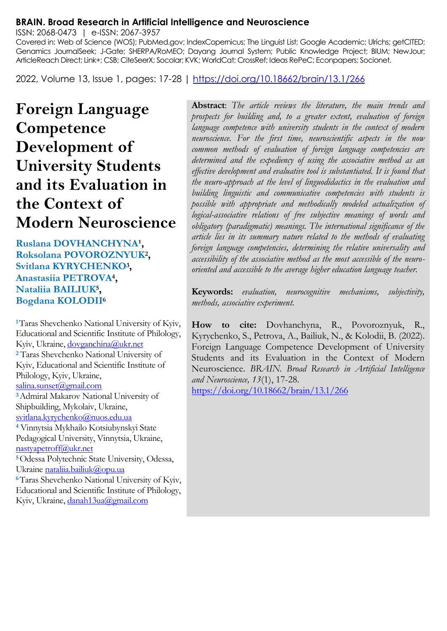#### **BRAIN. Broad Research in Artificial Intelligence and Neuroscience**

ISSN: 2068-0473 | e-ISSN: 2067-3957

Covered in: Web of Science (WOS); PubMed.gov; IndexCopernicus; The Linguist List; Google Academic; Ulrichs; getCITED; Genamics JournalSeek; J-Gate; SHERPA/RoMEO; Dayang Journal System; Public Knowledge Project; BIUM; NewJour; ArticleReach Direct; Link+; CSB; CiteSeerX; Socolar; KVK; WorldCat; CrossRef; Ideas RePeC; Econpapers; Socionet.

2022, Volume 13, Issue 1, pages: 17-28 |<https://doi.org/10.18662/brain/13.1/266>

# **Foreign Language Competence Development of University Students and its Evaluation in the Context of Modern Neuroscience**

Ruslana DOVHANCHYNA<sup>1</sup>, **Roksolana POVOROZNYUK<sup>2</sup> , Svitlana KYRYCHENKO<sup>3</sup> , Anastasiia PETROVA<sup>4</sup> , Nataliia BAILIUK<sup>5</sup> , Bogdana KOLODII<sup>6</sup>**

**<sup>1</sup>**Taras Shevchenko National University of Kyiv, Educational and Scientific Institute of Philology, Kyiv, Ukraine[, dovganchina@ukr.net](mailto:dovganchina@ukr.net) **<sup>2</sup>** Taras Shevchenko National University of Kyiv, Educational and Scientific Institute of Philology, Kyiv, Ukraine, [salina.sunset@gmail.com](mailto:salina.sunset@gmail.com) **<sup>3</sup>**Admiral Makarov National University of Shipbuilding, Mykolaiv, Ukraine, [svitlana.kyrychenko@nuos.edu.ua](mailto:svitlana.kyrychenko@nuos.edu.ua) **<sup>4</sup>** Vinnytsia Mykhailo Kotsiubynskyi State Pedagogical University, Vinnytsia, Ukraine, [nastyapetroff@ukr.net](mailto:nastyapetroff@ukr.net) **<sup>5</sup>**Odessа Polytechnic State University, Odessa, Ukrain[e nataliia.bailiuk@opu.ua](mailto:nataliia.bailiuk@opu.ua) **<sup>6</sup>**Taras Shevchenko National University of Kyiv, Educational and Scientific Institute of Philology, Kyiv, Ukraine[, danah13ua@gmail.com](mailto:danah13ua@gmail.com)

**Abstract**: *The article reviews the literature, the main trends and prospects for building and, to a greater extent, evaluation of foreign language competence with university students in the context of modern neuroscience. For the first time, neuroscientific aspects in the now common methods of evaluation of foreign language competencies are determined and the expediency of using the associative method as an effective development and evaluative tool is substantiated. It is found that the neuro-approach at the level of linguodidactics in the evaluation and building linguistic and communicative competencies with students is possible with appropriate and methodically modeled actualization of logical-associative relations of free subjective meanings of words and obligatory (paradigmatic) meanings. The international significance of the article lies in its summary nature related to the methods of evaluating foreign language competencies, determining the relative universality and accessibility of the associative method as the most accessible of the neurooriented and accessible to the average higher education language teacher.*

**Keywords:** *evaluation, neurocognitive mechanisms, subjectivity, methods, associative experiment.*

**How to cite:** Dovhanchyna, R., Povoroznyuk, R., Kyrychenko, S., Petrova, A., Bailiuk, N., & Kolodii, B. (2022). Foreign Language Competence Development of University Students and its Evaluation in the Context of Modern Neuroscience. *BRAIN. Broad Research in Artificial Intelligence and Neuroscience, 13*(1), 17-28.

<https://doi.org/10.18662/brain/13.1/266>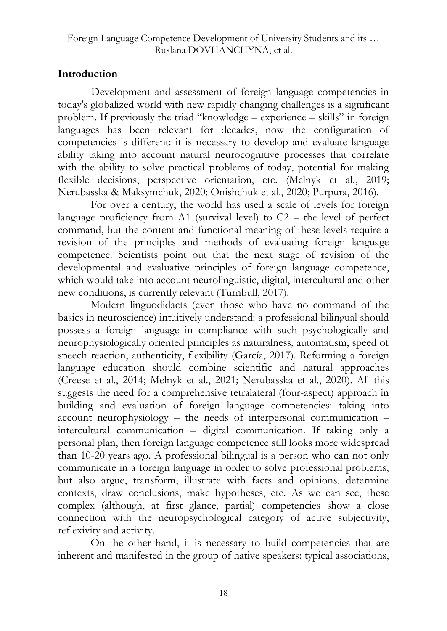# **Introduction**

Development and assessment of foreign language competencies in today's globalized world with new rapidly changing challenges is a significant problem. If previously the triad "knowledge – experience – skills" in foreign languages has been relevant for decades, now the configuration of competencies is different: it is necessary to develop and evaluate language ability taking into account natural neurocognitive processes that correlate with the ability to solve practical problems of today, potential for making flexible decisions, perspective orientation, etc. (Melnyk et al., 2019; Nerubasska & Maksymchuk, 2020; Onishchuk et al., 2020; [Purpura,](https://onlinelibrary.wiley.com/action/doSearch?ContribAuthorStored=Purpura%2C+James+E) 2016).

For over a century, the world has used a scale of levels for foreign language proficiency from A1 (survival level) to  $C2$  – the level of perfect command, but the content and functional meaning of these levels require a revision of the principles and methods of evaluating foreign language competence. Scientists point out that the next stage of revision of the developmental and evaluative principles of foreign language competence, which would take into account neurolinguistic, digital, intercultural and other new conditions, is currently relevant (Turnbull, 2017).

Modern linguodidacts (even those who have no command of the basics in neuroscience) intuitively understand: a professional bilingual should possess a foreign language in compliance with such psychologically and neurophysiologically oriented principles as naturalness, automatism, speed of speech reaction, authenticity, flexibility (García, 2017). Reforming a foreign language education should combine scientific and natural approaches (Creese et al., 2014; Melnyk et al., 2021; Nerubasska et al., 2020). All this suggests the need for a comprehensive tetralateral (four-aspect) approach in building and evaluation of foreign language competencies: taking into account neurophysiology – the needs of interpersonal communication – intercultural communication – digital communication. If taking only a personal plan, then foreign language competence still looks more widespread than 10-20 years ago. A professional bilingual is a person who can not only communicate in a foreign language in order to solve professional problems, but also argue, transform, illustrate with facts and opinions, determine contexts, draw conclusions, make hypotheses, etc. As we can see, these complex (although, at first glance, partial) competencies show a close connection with the neuropsychological category of active subjectivity, reflexivity and activity.

On the other hand, it is necessary to build competencies that are inherent and manifested in the group of native speakers: typical associations,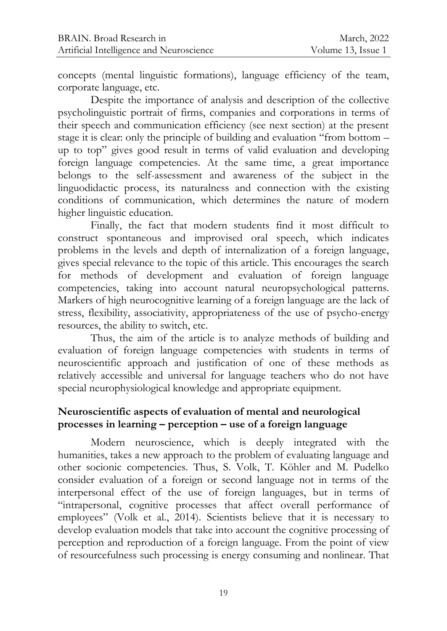concepts (mental linguistic formations), language efficiency of the team, corporate language, etc.

Despite the importance of analysis and description of the collective psycholinguistic portrait of firms, companies and corporations in terms of their speech and communication efficiency (see next section) at the present stage it is clear: only the principle of building and evaluation "from bottom – up to top" gives good result in terms of valid evaluation and developing foreign language competencies. At the same time, a great importance belongs to the self-assessment and awareness of the subject in the linguodidactic process, its naturalness and connection with the existing conditions of communication, which determines the nature of modern higher linguistic education.

Finally, the fact that modern students find it most difficult to construct spontaneous and improvised oral speech, which indicates problems in the levels and depth of internalization of a foreign language, gives special relevance to the topic of this article. This encourages the search for methods of development and evaluation of foreign language competencies, taking into account natural neuropsychological patterns. Markers of high neurocognitive learning of a foreign language are the lack of stress, flexibility, associativity, appropriateness of the use of psycho-energy resources, the ability to switch, etc.

Thus, the aim of the article is to analyze methods of building and evaluation of foreign language competencies with students in terms of neuroscientific approach and justification of one of these methods as relatively accessible and universal for language teachers who do not have special neurophysiological knowledge and appropriate equipment.

## **Neuroscientific aspects of evaluation of mental and neurological processes in learning – perception – use of a foreign language**

Modern neuroscience, which is deeply integrated with the humanities, takes a new approach to the problem of evaluating language and other socionic competencies. Thus, S. Volk, T. Köhler and M. Pudelko consider evaluation of a foreign or second language not in terms of the interpersonal effect of the use of foreign languages, but in terms of "intrapersonal, cognitive processes that affect overall performance of employees" (Volk et al., 2014). Scientists believe that it is necessary to develop evaluation models that take into account the cognitive processing of perception and reproduction of a foreign language. From the point of view of resourcefulness such processing is energy consuming and nonlinear. That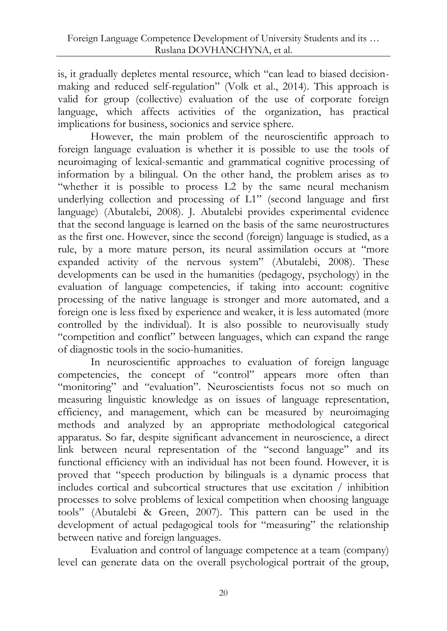is, it gradually depletes mental resource, which "can lead to biased decisionmaking and reduced self-regulation" (Volk et al., 2014). This approach is valid for group (collective) evaluation of the use of corporate foreign language, which affects activities of the organization, has practical implications for business, socionics and service sphere.

However, the main problem of the neuroscientific approach to foreign language evaluation is whether it is possible to use the tools of neuroimaging of lexical-semantic and grammatical cognitive processing of information by a bilingual. On the other hand, the problem arises as to "whether it is possible to process L2 by the same neural mechanism underlying collection and processing of L1" (second language and first language) (Abutalebi, 2008). J. Abutalebi provides experimental evidence that the second language is learned on the basis of the same neurostructures as the first one. However, since the second (foreign) language is studied, as a rule, by a more mature person, its neural assimilation occurs at "more expanded activity of the nervous system" (Abutalebi, 2008). These developments can be used in the humanities (pedagogy, psychology) in the evaluation of language competencies, if taking into account: cognitive processing of the native language is stronger and more automated, and a foreign one is less fixed by experience and weaker, it is less automated (more controlled by the individual). It is also possible to neurovisually study "competition and conflict" between languages, which can expand the range of diagnostic tools in the socio-humanities.

In neuroscientific approaches to evaluation of foreign language competencies, the concept of "control" appears more often than "monitoring" and "evaluation". Neuroscientists focus not so much on measuring linguistic knowledge as on issues of language representation, efficiency, and management, which can be measured by neuroimaging methods and analyzed by an appropriate methodological categorical apparatus. So far, despite significant advancement in neuroscience, a direct link between neural representation of the "second language" and its functional efficiency with an individual has not been found. However, it is proved that "speech production by bilinguals is a dynamic process that includes cortical and subcortical structures that use excitation / inhibition processes to solve problems of lexical competition when choosing language tools" (Abutalebi & Green, 2007). This pattern can be used in the development of actual pedagogical tools for "measuring" the relationship between native and foreign languages.

Evaluation and control of language competence at a team (company) level can generate data on the overall psychological portrait of the group,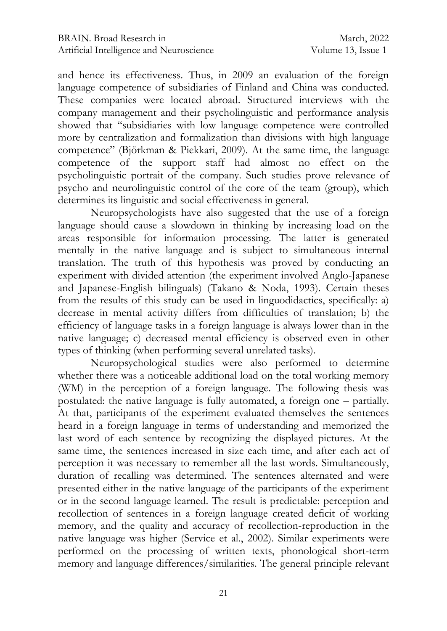and hence its effectiveness. Thus, in 2009 an evaluation of the foreign language competence of subsidiaries of Finland and China was conducted. These companies were located abroad. Structured interviews with the company management and their psycholinguistic and performance analysis showed that "subsidiaries with low language competence were controlled more by centralization and formalization than divisions with high language competence" (Björkman & Piekkari, 2009). At the same time, the language competence of the support staff had almost no effect on the psycholinguistic portrait of the company. Such studies prove relevance of psycho and neurolinguistic control of the core of the team (group), which determines its linguistic and social effectiveness in general.

Neuropsychologists have also suggested that the use of a foreign language should cause a slowdown in thinking by increasing load on the areas responsible for information processing. The latter is generated mentally in the native language and is subject to simultaneous internal translation. The truth of this hypothesis was proved by conducting an experiment with divided attention (the experiment involved Anglo-Japanese and Japanese-English bilinguals) (Takano & Noda, 1993). Certain theses from the results of this study can be used in linguodidactics, specifically: a) decrease in mental activity differs from difficulties of translation; b) the efficiency of language tasks in a foreign language is always lower than in the native language; c) decreased mental efficiency is observed even in other types of thinking (when performing several unrelated tasks).

Neuropsychological studies were also performed to determine whether there was a noticeable additional load on the total working memory (WM) in the perception of a foreign language. The following thesis was postulated: the native language is fully automated, a foreign one – partially. At that, participants of the experiment evaluated themselves the sentences heard in a foreign language in terms of understanding and memorized the last word of each sentence by recognizing the displayed pictures. At the same time, the sentences increased in size each time, and after each act of perception it was necessary to remember all the last words. Simultaneously, duration of recalling was determined. The sentences alternated and were presented either in the native language of the participants of the experiment or in the second language learned. The result is predictable: perception and recollection of sentences in a foreign language created deficit of working memory, and the quality and accuracy of recollection-reproduction in the native language was higher (Service et al., 2002). Similar experiments were performed on the processing of written texts, phonological short-term memory and language differences/similarities. The general principle relevant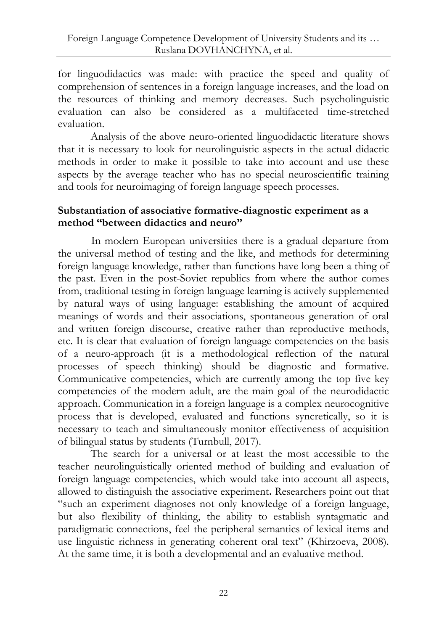for linguodidactics was made: with practice the speed and quality of comprehension of sentences in a foreign language increases, and the load on the resources of thinking and memory decreases. Such psycholinguistic evaluation can also be considered as a multifaceted time-stretched evaluation.

Analysis of the above neuro-oriented linguodidactic literature shows that it is necessary to look for neurolinguistic aspects in the actual didactic methods in order to make it possible to take into account and use these aspects by the average teacher who has no special neuroscientific training and tools for neuroimaging of foreign language speech processes.

#### **Substantiation of associative formative-diagnostic experiment as a method "between didactics and neuro"**

In modern European universities there is a gradual departure from the universal method of testing and the like, and methods for determining foreign language knowledge, rather than functions have long been a thing of the past. Even in the post-Soviet republics from where the author comes from, traditional testing in foreign language learning is actively supplemented by natural ways of using language: establishing the amount of acquired meanings of words and their associations, spontaneous generation of oral and written foreign discourse, creative rather than reproductive methods, etc. It is clear that evaluation of foreign language competencies on the basis of a neuro-approach (it is a methodological reflection of the natural processes of speech thinking) should be diagnostic and formative. Communicative competencies, which are currently among the top five key competencies of the modern adult, are the main goal of the neurodidactic approach. Communication in a foreign language is a complex neurocognitive process that is developed, evaluated and functions syncretically, so it is necessary to teach and simultaneously monitor effectiveness of acquisition of bilingual status by students (Turnbull, 2017).

The search for a universal or at least the most accessible to the teacher neurolinguistically oriented method of building and evaluation of foreign language competencies, which would take into account all aspects, allowed to distinguish the associative experiment**.** Researchers point out that "such an experiment diagnoses not only knowledge of a foreign language, but also flexibility of thinking, the ability to establish syntagmatic and paradigmatic connections, feel the peripheral semantics of lexical items and use linguistic richness in generating coherent oral text" (Khirzoeva, 2008). At the same time, it is both a developmental and an evaluative method.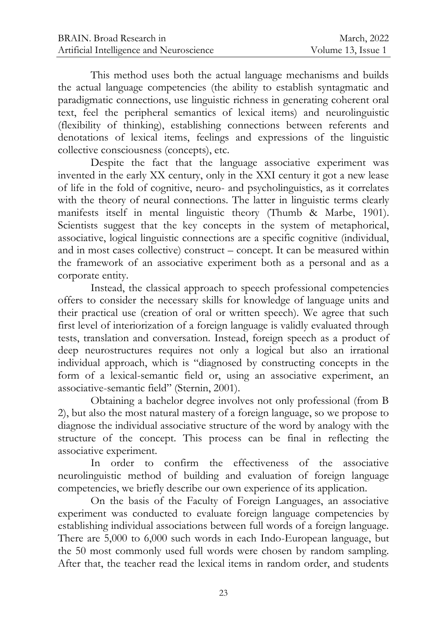This method uses both the actual language mechanisms and builds the actual language competencies (the ability to establish syntagmatic and paradigmatic connections, use linguistic richness in generating coherent oral text, feel the peripheral semantics of lexical items) and neurolinguistic (flexibility of thinking), establishing connections between referents and denotations of lexical items, feelings and expressions of the linguistic collective consciousness (concepts), etc.

Despite the fact that the language associative experiment was invented in the early XX century, only in the XXI century it got a new lease of life in the fold of cognitive, neuro- and psycholinguistics, as it correlates with the theory of neural connections. The latter in linguistic terms clearly manifests itself in mental linguistic theory (Thumb & Marbe, 1901). Scientists suggest that the key concepts in the system of metaphorical, associative, logical linguistic connections are a specific cognitive (individual, and in most cases collective) construct – concept. It can be measured within the framework of an associative experiment both as a personal and as a corporate entity.

Instead, the classical approach to speech professional competencies offers to consider the necessary skills for knowledge of language units and their practical use (creation of oral or written speech). We agree that such first level of interiorization of a foreign language is validly evaluated through tests, translation and conversation. Instead, foreign speech as a product of deep neurostructures requires not only a logical but also an irrational individual approach, which is "diagnosed by constructing concepts in the form of a lexical-semantic field or, using an associative experiment, an associative-semantic field" (Sternin, 2001).

Obtaining a bachelor degree involves not only professional (from B 2), but also the most natural mastery of a foreign language, so we propose to diagnose the individual associative structure of the word by analogy with the structure of the concept. This process can be final in reflecting the associative experiment.

In order to confirm the effectiveness of the associative neurolinguistic method of building and evaluation of foreign language competencies, we briefly describe our own experience of its application.

On the basis of the Faculty of Foreign Languages, an associative experiment was conducted to evaluate foreign language competencies by establishing individual associations between full words of a foreign language. There are 5,000 to 6,000 such words in each Indo-European language, but the 50 most commonly used full words were chosen by random sampling. After that, the teacher read the lexical items in random order, and students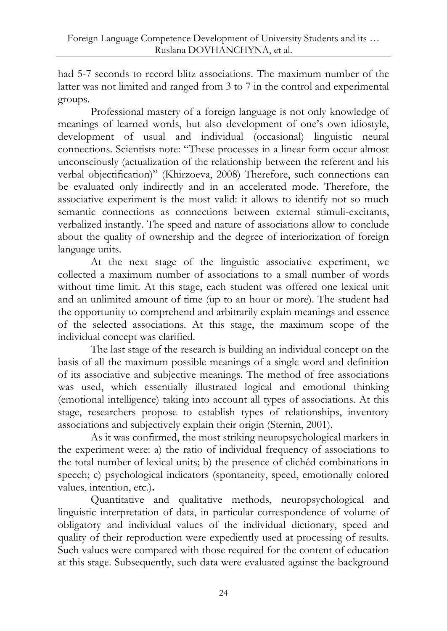had 5-7 seconds to record blitz associations. The maximum number of the latter was not limited and ranged from 3 to 7 in the control and experimental groups.

Professional mastery of a foreign language is not only knowledge of meanings of learned words, but also development of one's own idiostyle, development of usual and individual (occasional) linguistic neural connections. Scientists note: "These processes in a linear form occur almost unconsciously (actualization of the relationship between the referent and his verbal objectification)" (Khirzoeva, 2008) Therefore, such connections can be evaluated only indirectly and in an accelerated mode. Therefore, the associative experiment is the most valid: it allows to identify not so much semantic connections as connections between external stimuli-excitants, verbalized instantly. The speed and nature of associations allow to conclude about the quality of ownership and the degree of interiorization of foreign language units.

At the next stage of the linguistic associative experiment, we collected a maximum number of associations to a small number of words without time limit. At this stage, each student was offered one lexical unit and an unlimited amount of time (up to an hour or more). The student had the opportunity to comprehend and arbitrarily explain meanings and essence of the selected associations. At this stage, the maximum scope of the individual concept was clarified.

The last stage of the research is building an individual concept on the basis of all the maximum possible meanings of a single word and definition of its associative and subjective meanings. The method of free associations was used, which essentially illustrated logical and emotional thinking (emotional intelligence) taking into account all types of associations. At this stage, researchers propose to establish types of relationships, inventory associations and subjectively explain their origin (Sternin, 2001).

As it was confirmed, the most striking neuropsychological markers in the experiment were: a) the ratio of individual frequency of associations to the total number of lexical units; b) the presence of clichéd combinations in speech; c) psychological indicators (spontaneity, speed, emotionally colored values, intention, etc.)**.**

Quantitative and qualitative methods, neuropsychological and linguistic interpretation of data, in particular correspondence of volume of obligatory and individual values of the individual dictionary, speed and quality of their reproduction were expediently used at processing of results. Such values were compared with those required for the content of education at this stage. Subsequently, such data were evaluated against the background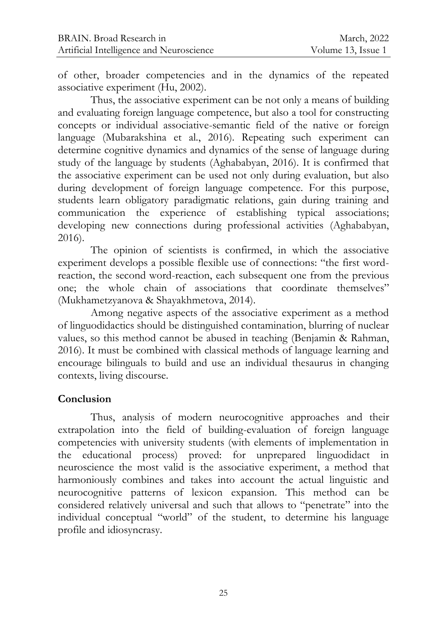of other, broader competencies and in the dynamics of the repeated associative experiment (Hu, 2002).

Thus, the associative experiment can be not only a means of building and evaluating foreign language competence, but also a tool for constructing concepts or individual associative-semantic field of the native or foreign language (Mubarakshina et al., 2016). Repeating such experiment can determine cognitive dynamics and dynamics of the sense of language during study of the language by students (Aghababyan, 2016). It is confirmed that the associative experiment can be used not only during evaluation, but also during development of foreign language competence. For this purpose, students learn obligatory paradigmatic relations, gain during training and communication the experience of establishing typical associations; developing new connections during professional activities (Aghababyan, 2016).

The opinion of scientists is confirmed, in which the associative experiment develops a possible flexible use of connections: "the first wordreaction, the second word-reaction, each subsequent one from the previous one; the whole chain of associations that coordinate themselves" (Mukhametzyanova & Shayakhmetova, 2014).

Among negative aspects of the associative experiment as a method of linguodidactics should be distinguished contamination, blurring of nuclear values, so this method cannot be abused in teaching (Benjamin & Rahman, 2016). It must be combined with classical methods of language learning and encourage bilinguals to build and use an individual thesaurus in changing contexts, living discourse.

#### **Conclusion**

Thus, analysis of modern neurocognitive approaches and their extrapolation into the field of building-evaluation of foreign language competencies with university students (with elements of implementation in the educational process) proved: for unprepared linguodidact in neuroscience the most valid is the associative experiment, a method that harmoniously combines and takes into account the actual linguistic and neurocognitive patterns of lexicon expansion. This method can be considered relatively universal and such that allows to "penetrate" into the individual conceptual "world" of the student, to determine his language profile and idiosyncrasy.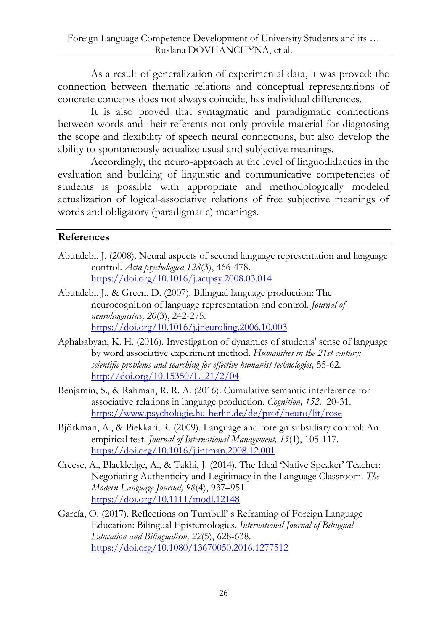As a result of generalization of experimental data, it was proved: the connection between thematic relations and conceptual representations of concrete concepts does not always coincide, has individual differences.

It is also proved that syntagmatic and paradigmatic connections between words and their referents not only provide material for diagnosing the scope and flexibility of speech neural connections, but also develop the ability to spontaneously actualize usual and subjective meanings.

Accordingly, the neuro-approach at the level of linguodidactics in the evaluation and building of linguistic and communicative competencies of students is possible with appropriate and methodologically modeled actualization of logical-associative relations of free subjective meanings of words and obligatory (paradigmatic) meanings.

## **References**

- Abutalebi, J. (2008). Neural aspects of second language representation and language control. *Acta psychologica 128*(3), 466-478. <https://doi.org/10.1016/j.actpsy.2008.03.014>
- Abutalebi, J., & Green, D. (2007). Bilingual language production: The neurocognition of language representation and control. *Journal of neurolinguistics, 20*(3), 242-275. <https://doi.org/10.1016/j.jneuroling.2006.10.003>
- Aghababyan, K. H. (2016). Investigation of dynamics of students' sense of language by word associative experiment method. *Humanities in the 21st century: scientific problems and searching for effective humanist technologies,* 55-62. [http://doi.org/10.15350/L\\_21/2/04](http://doi.org/10.15350/L_21/2/04)
- [Benjamin, S., & Rahman, R.](https://www.sciencedirect.com/science/article/abs/pii/S0010027716300683#!) R. [A.](https://www.sciencedirect.com/science/article/abs/pii/S0010027716300683#!) (2016). Cumulative semantic interference for associative relations in language production. *[Cognition,](https://www.sciencedirect.com/science/journal/00100277) [152,](https://www.sciencedirect.com/science/journal/00100277/152/supp/C)* 20-31. https://www.psychologie.hu-berlin.de/de/prof/neuro/lit/rose
- Björkman, A., & Piekkari, R. (2009). Language and foreign subsidiary control: An empirical test. *Journal of International Management, 15*(1), 105-117. <https://doi.org/10.1016/j.intman.2008.12.001>
- Creese, A., Blackledge, A., & Takhi, J. (2014). The Ideal 'Native Speaker' Teacher: Negotiating Authenticity and Legitimacy in the Language Classroom. *The Modern Language Journal, 98*(4), 937–951. https://doi.org/10.1111/modl.12148
- García, O. (2017). Reflections on Turnbull' s Reframing of Foreign Language Education: Bilingual Epistemologies. *International Journal of Bilingual Education and Bilingualism, 22*(5), 628-638. https://doi.org/10.1080/13670050.2016.1277512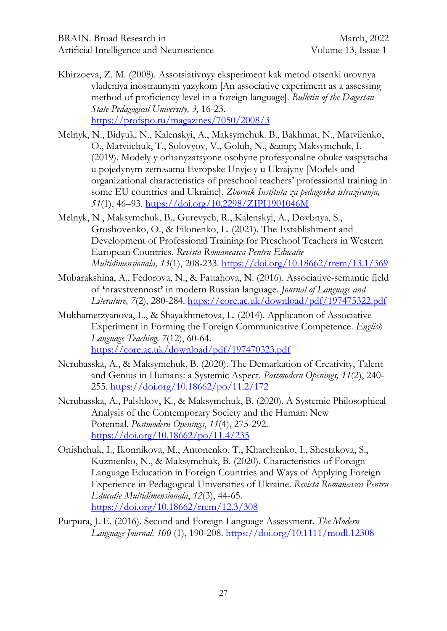- Khirzoeva, Z. M. (2008). Assotsiativnyy eksperiment kak metod otsenki urovnya vladeniya inostrannym yazykom [An associative experiment as a assessing method of proficiency level in a foreign language]. *Bulletin of the Dagestan State Pedagogical University, 3,* 16-23. https://profspo.ru/magazines/7050/2008/3
- Melnyk, N., Bidyuk, N., Kalenskyi, A., Maksymchuk. B., Bakhmat, N., Matviienko, O., Matviichuk, T., Solovyov, V., Golub, N., & amp; Maksymchuk, I. (2019). Modely y orhanyzatsyone osobyne profesyonalne obuke vaspytacha u poјedynym zemљama Evropske Unyјe y u Ukraјyny [Models and organizational characteristics of preschool teachers' professional training in some EU countries and Ukraine]. *Zbornik Instituta za pedagoska istrazivanja, 51*(1), 46–93. https://doi.org/10.2298/ZIPI1901046M
- Melnyk, N., Maksymchuk, B., Gurevych, R., Kalenskyi, A., Dovbnya, S., Groshovenko, O., & Filonenko, L. (2021). The Establishment and Development of Professional Training for Preschool Teachers in Western European Countries*. Revista Romaneasca Pentru Educatie Multidimensionala, 13*(1), 208-233. <https://doi.org/10.18662/rrem/13.1/369>
- Mubarakshina, A., Fedorova, N., & Fattahova, N. (2016). Associative-semantic field of **'**nravstvennost**'** in modern Russian language. *Journal of Language and Literature, 7*(2), 280-284. https://core.ac.uk/download/pdf/197475322.pdf
- Mukhametzyanova, L., & Shayakhmetova, L. (2014). Application of Associative Experiment in Forming the Foreign Communicative Competence. *English Language Teaching, 7*(12), 60-64. https://core.ac.uk/download/pdf/197470323.pdf
- Nerubasska, A., & Maksymchuk, B. (2020). The Demarkation of Creativity, Talent and Genius in Humans: a Systemic Aspect. *Postmodern Openings, 11*(2), 240- 255.<https://doi.org/10.18662/po/11.2/172>
- Nerubasska, A., Palshkov, K., & Maksymchuk, B. (2020). A Systemic Philosophical Analysis of the Contemporary Society and the Human: New Potential. *Postmodern Openings*, *11*(4), 275-292. https://doi.org/10.18662/po/11.4/235
- Onishchuk, I., Ikonnikova, M., Antonenko, T., Kharchenko, I., Shestakova, S., Kuzmenko, N., & Maksymchuk, B. (2020). Characteristics of Foreign Language Education in Foreign Countries and Ways of Applying Foreign Experience in Pedagogical Universities of Ukraine. *Revista Romaneasca Pentru Educatie Multidimensionala*, *12*(3), 44-65. <https://doi.org/10.18662/rrem/12.3/308>
- Purpura, J. E. (2016). Second and Foreign Language Assessment. *The Modern Language Journal, 100* (1), 190-208.<https://doi.org/10.1111/modl.12308>